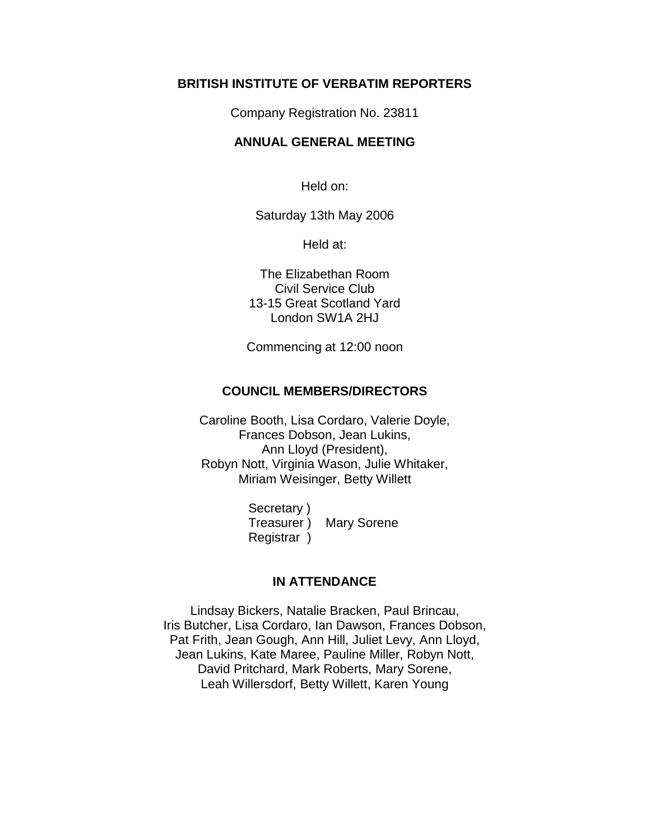#### **BRITISH INSTITUTE OF VERBATIM REPORTERS**

Company Registration No. 23811

#### **ANNUAL GENERAL MEETING**

Held on:

Saturday 13th May 2006

Held at:

The Elizabethan Room Civil Service Club 13-15 Great Scotland Yard London SW1A 2HJ

Commencing at 12:00 noon

#### **COUNCIL MEMBERS/DIRECTORS**

Caroline Booth, Lisa Cordaro, Valerie Doyle, Frances Dobson, Jean Lukins, Ann Lloyd (President), Robyn Nott, Virginia Wason, Julie Whitaker, Miriam Weisinger, Betty Willett

> Secretary ) Treasurer ) Mary Sorene Registrar )

#### **IN ATTENDANCE**

Lindsay Bickers, Natalie Bracken, Paul Brincau, Iris Butcher, Lisa Cordaro, Ian Dawson, Frances Dobson, Pat Frith, Jean Gough, Ann Hill, Juliet Levy, Ann Lloyd, Jean Lukins, Kate Maree, Pauline Miller, Robyn Nott, David Pritchard, Mark Roberts, Mary Sorene, Leah Willersdorf, Betty Willett, Karen Young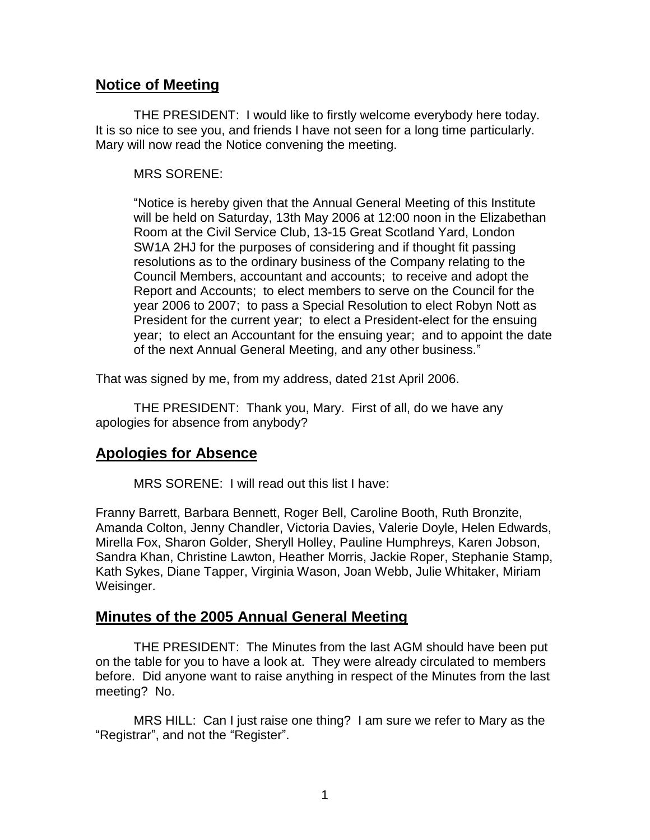### **Notice of Meeting**

THE PRESIDENT: I would like to firstly welcome everybody here today. It is so nice to see you, and friends I have not seen for a long time particularly. Mary will now read the Notice convening the meeting.

### MRS SORENE:

"Notice is hereby given that the Annual General Meeting of this Institute will be held on Saturday, 13th May 2006 at 12:00 noon in the Elizabethan Room at the Civil Service Club, 13-15 Great Scotland Yard, London SW1A 2HJ for the purposes of considering and if thought fit passing resolutions as to the ordinary business of the Company relating to the Council Members, accountant and accounts; to receive and adopt the Report and Accounts; to elect members to serve on the Council for the year 2006 to 2007; to pass a Special Resolution to elect Robyn Nott as President for the current year; to elect a President-elect for the ensuing year; to elect an Accountant for the ensuing year; and to appoint the date of the next Annual General Meeting, and any other business."

That was signed by me, from my address, dated 21st April 2006.

THE PRESIDENT: Thank you, Mary. First of all, do we have any apologies for absence from anybody?

# **Apologies for Absence**

MRS SORENE: I will read out this list I have:

Franny Barrett, Barbara Bennett, Roger Bell, Caroline Booth, Ruth Bronzite, Amanda Colton, Jenny Chandler, Victoria Davies, Valerie Doyle, Helen Edwards, Mirella Fox, Sharon Golder, Sheryll Holley, Pauline Humphreys, Karen Jobson, Sandra Khan, Christine Lawton, Heather Morris, Jackie Roper, Stephanie Stamp, Kath Sykes, Diane Tapper, Virginia Wason, Joan Webb, Julie Whitaker, Miriam Weisinger.

# **Minutes of the 2005 Annual General Meeting**

THE PRESIDENT: The Minutes from the last AGM should have been put on the table for you to have a look at. They were already circulated to members before. Did anyone want to raise anything in respect of the Minutes from the last meeting? No.

MRS HILL: Can I just raise one thing? I am sure we refer to Mary as the "Registrar", and not the "Register".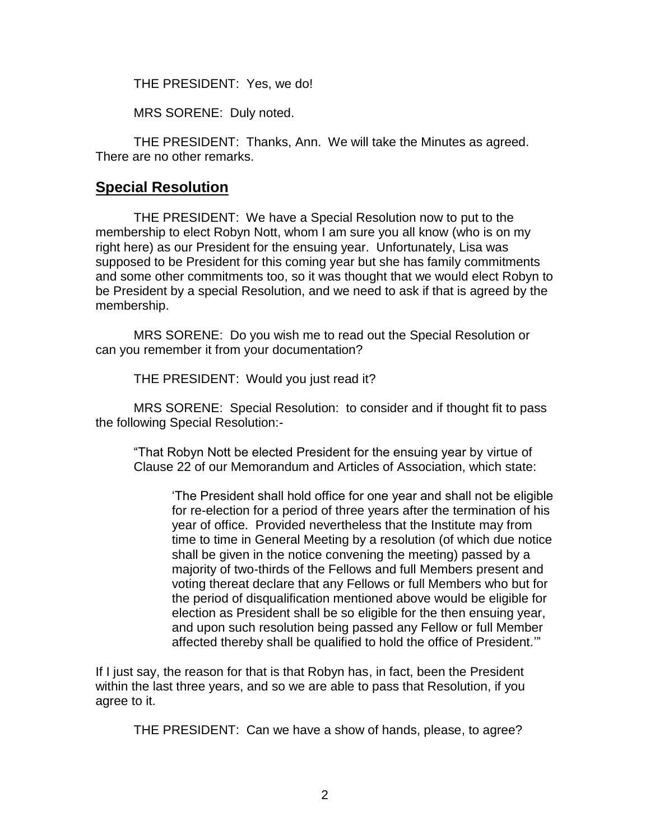THE PRESIDENT: Yes, we do!

MRS SORENE: Duly noted.

THE PRESIDENT: Thanks, Ann. We will take the Minutes as agreed. There are no other remarks.

### **Special Resolution**

THE PRESIDENT: We have a Special Resolution now to put to the membership to elect Robyn Nott, whom I am sure you all know (who is on my right here) as our President for the ensuing year. Unfortunately, Lisa was supposed to be President for this coming year but she has family commitments and some other commitments too, so it was thought that we would elect Robyn to be President by a special Resolution, and we need to ask if that is agreed by the membership.

MRS SORENE: Do you wish me to read out the Special Resolution or can you remember it from your documentation?

THE PRESIDENT: Would you just read it?

MRS SORENE: Special Resolution: to consider and if thought fit to pass the following Special Resolution:-

"That Robyn Nott be elected President for the ensuing year by virtue of Clause 22 of our Memorandum and Articles of Association, which state:

'The President shall hold office for one year and shall not be eligible for re-election for a period of three years after the termination of his year of office. Provided nevertheless that the Institute may from time to time in General Meeting by a resolution (of which due notice shall be given in the notice convening the meeting) passed by a majority of two-thirds of the Fellows and full Members present and voting thereat declare that any Fellows or full Members who but for the period of disqualification mentioned above would be eligible for election as President shall be so eligible for the then ensuing year, and upon such resolution being passed any Fellow or full Member affected thereby shall be qualified to hold the office of President.'"

If I just say, the reason for that is that Robyn has, in fact, been the President within the last three years, and so we are able to pass that Resolution, if you agree to it.

THE PRESIDENT: Can we have a show of hands, please, to agree?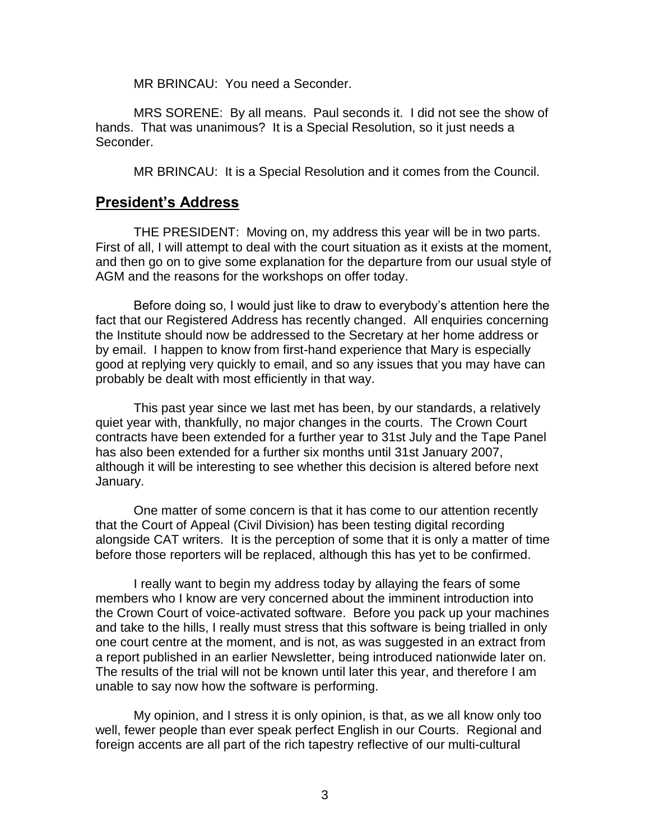MR BRINCAU: You need a Seconder.

MRS SORENE: By all means. Paul seconds it. I did not see the show of hands. That was unanimous? It is a Special Resolution, so it just needs a Seconder.

MR BRINCAU: It is a Special Resolution and it comes from the Council.

### **President's Address**

THE PRESIDENT: Moving on, my address this year will be in two parts. First of all, I will attempt to deal with the court situation as it exists at the moment, and then go on to give some explanation for the departure from our usual style of AGM and the reasons for the workshops on offer today.

Before doing so, I would just like to draw to everybody's attention here the fact that our Registered Address has recently changed. All enquiries concerning the Institute should now be addressed to the Secretary at her home address or by email. I happen to know from first-hand experience that Mary is especially good at replying very quickly to email, and so any issues that you may have can probably be dealt with most efficiently in that way.

This past year since we last met has been, by our standards, a relatively quiet year with, thankfully, no major changes in the courts. The Crown Court contracts have been extended for a further year to 31st July and the Tape Panel has also been extended for a further six months until 31st January 2007, although it will be interesting to see whether this decision is altered before next January.

One matter of some concern is that it has come to our attention recently that the Court of Appeal (Civil Division) has been testing digital recording alongside CAT writers. It is the perception of some that it is only a matter of time before those reporters will be replaced, although this has yet to be confirmed.

I really want to begin my address today by allaying the fears of some members who I know are very concerned about the imminent introduction into the Crown Court of voice-activated software. Before you pack up your machines and take to the hills, I really must stress that this software is being trialled in only one court centre at the moment, and is not, as was suggested in an extract from a report published in an earlier Newsletter, being introduced nationwide later on. The results of the trial will not be known until later this year, and therefore I am unable to say now how the software is performing.

My opinion, and I stress it is only opinion, is that, as we all know only too well, fewer people than ever speak perfect English in our Courts. Regional and foreign accents are all part of the rich tapestry reflective of our multi-cultural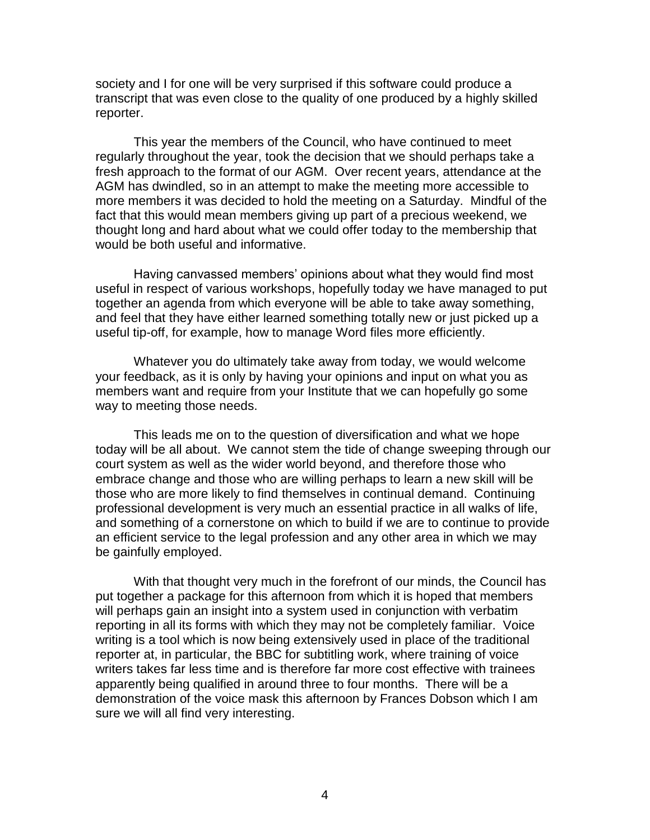society and I for one will be very surprised if this software could produce a transcript that was even close to the quality of one produced by a highly skilled reporter.

This year the members of the Council, who have continued to meet regularly throughout the year, took the decision that we should perhaps take a fresh approach to the format of our AGM. Over recent years, attendance at the AGM has dwindled, so in an attempt to make the meeting more accessible to more members it was decided to hold the meeting on a Saturday. Mindful of the fact that this would mean members giving up part of a precious weekend, we thought long and hard about what we could offer today to the membership that would be both useful and informative.

Having canvassed members' opinions about what they would find most useful in respect of various workshops, hopefully today we have managed to put together an agenda from which everyone will be able to take away something, and feel that they have either learned something totally new or just picked up a useful tip-off, for example, how to manage Word files more efficiently.

Whatever you do ultimately take away from today, we would welcome your feedback, as it is only by having your opinions and input on what you as members want and require from your Institute that we can hopefully go some way to meeting those needs.

This leads me on to the question of diversification and what we hope today will be all about. We cannot stem the tide of change sweeping through our court system as well as the wider world beyond, and therefore those who embrace change and those who are willing perhaps to learn a new skill will be those who are more likely to find themselves in continual demand. Continuing professional development is very much an essential practice in all walks of life, and something of a cornerstone on which to build if we are to continue to provide an efficient service to the legal profession and any other area in which we may be gainfully employed.

With that thought very much in the forefront of our minds, the Council has put together a package for this afternoon from which it is hoped that members will perhaps gain an insight into a system used in conjunction with verbatim reporting in all its forms with which they may not be completely familiar. Voice writing is a tool which is now being extensively used in place of the traditional reporter at, in particular, the BBC for subtitling work, where training of voice writers takes far less time and is therefore far more cost effective with trainees apparently being qualified in around three to four months. There will be a demonstration of the voice mask this afternoon by Frances Dobson which I am sure we will all find very interesting.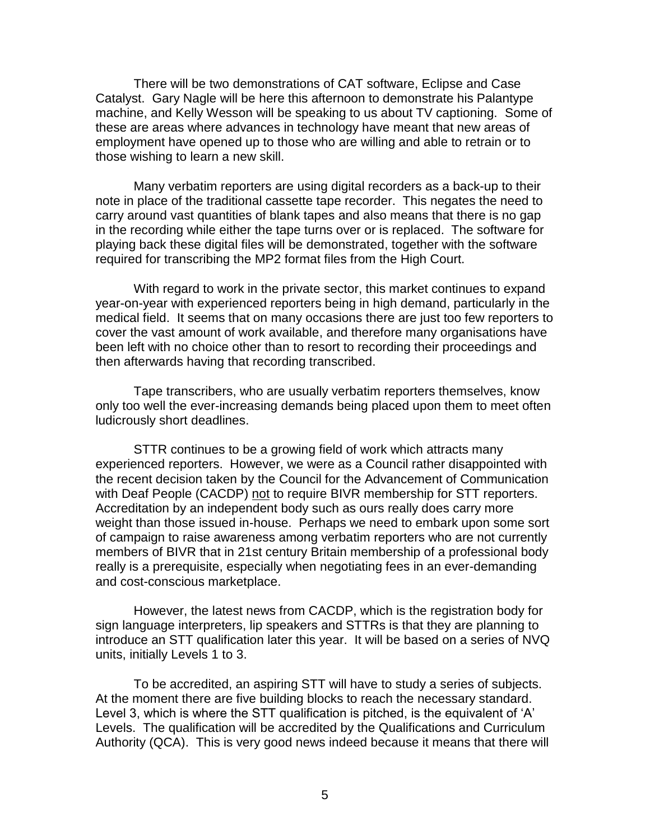There will be two demonstrations of CAT software, Eclipse and Case Catalyst. Gary Nagle will be here this afternoon to demonstrate his Palantype machine, and Kelly Wesson will be speaking to us about TV captioning. Some of these are areas where advances in technology have meant that new areas of employment have opened up to those who are willing and able to retrain or to those wishing to learn a new skill.

Many verbatim reporters are using digital recorders as a back-up to their note in place of the traditional cassette tape recorder. This negates the need to carry around vast quantities of blank tapes and also means that there is no gap in the recording while either the tape turns over or is replaced. The software for playing back these digital files will be demonstrated, together with the software required for transcribing the MP2 format files from the High Court.

With regard to work in the private sector, this market continues to expand year-on-year with experienced reporters being in high demand, particularly in the medical field. It seems that on many occasions there are just too few reporters to cover the vast amount of work available, and therefore many organisations have been left with no choice other than to resort to recording their proceedings and then afterwards having that recording transcribed.

Tape transcribers, who are usually verbatim reporters themselves, know only too well the ever-increasing demands being placed upon them to meet often ludicrously short deadlines.

STTR continues to be a growing field of work which attracts many experienced reporters. However, we were as a Council rather disappointed with the recent decision taken by the Council for the Advancement of Communication with Deaf People (CACDP) not to require BIVR membership for STT reporters. Accreditation by an independent body such as ours really does carry more weight than those issued in-house. Perhaps we need to embark upon some sort of campaign to raise awareness among verbatim reporters who are not currently members of BIVR that in 21st century Britain membership of a professional body really is a prerequisite, especially when negotiating fees in an ever-demanding and cost-conscious marketplace.

However, the latest news from CACDP, which is the registration body for sign language interpreters, lip speakers and STTRs is that they are planning to introduce an STT qualification later this year. It will be based on a series of NVQ units, initially Levels 1 to 3.

To be accredited, an aspiring STT will have to study a series of subjects. At the moment there are five building blocks to reach the necessary standard. Level 3, which is where the STT qualification is pitched, is the equivalent of 'A' Levels. The qualification will be accredited by the Qualifications and Curriculum Authority (QCA). This is very good news indeed because it means that there will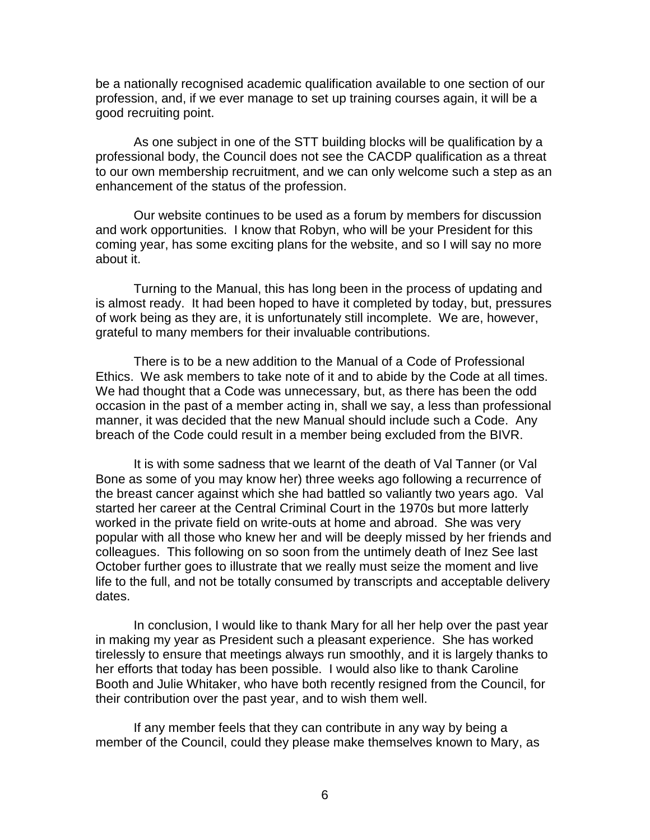be a nationally recognised academic qualification available to one section of our profession, and, if we ever manage to set up training courses again, it will be a good recruiting point.

As one subject in one of the STT building blocks will be qualification by a professional body, the Council does not see the CACDP qualification as a threat to our own membership recruitment, and we can only welcome such a step as an enhancement of the status of the profession.

Our website continues to be used as a forum by members for discussion and work opportunities. I know that Robyn, who will be your President for this coming year, has some exciting plans for the website, and so I will say no more about it.

Turning to the Manual, this has long been in the process of updating and is almost ready. It had been hoped to have it completed by today, but, pressures of work being as they are, it is unfortunately still incomplete. We are, however, grateful to many members for their invaluable contributions.

There is to be a new addition to the Manual of a Code of Professional Ethics. We ask members to take note of it and to abide by the Code at all times. We had thought that a Code was unnecessary, but, as there has been the odd occasion in the past of a member acting in, shall we say, a less than professional manner, it was decided that the new Manual should include such a Code. Any breach of the Code could result in a member being excluded from the BIVR.

It is with some sadness that we learnt of the death of Val Tanner (or Val Bone as some of you may know her) three weeks ago following a recurrence of the breast cancer against which she had battled so valiantly two years ago. Val started her career at the Central Criminal Court in the 1970s but more latterly worked in the private field on write-outs at home and abroad. She was very popular with all those who knew her and will be deeply missed by her friends and colleagues. This following on so soon from the untimely death of Inez See last October further goes to illustrate that we really must seize the moment and live life to the full, and not be totally consumed by transcripts and acceptable delivery dates.

In conclusion, I would like to thank Mary for all her help over the past year in making my year as President such a pleasant experience. She has worked tirelessly to ensure that meetings always run smoothly, and it is largely thanks to her efforts that today has been possible. I would also like to thank Caroline Booth and Julie Whitaker, who have both recently resigned from the Council, for their contribution over the past year, and to wish them well.

If any member feels that they can contribute in any way by being a member of the Council, could they please make themselves known to Mary, as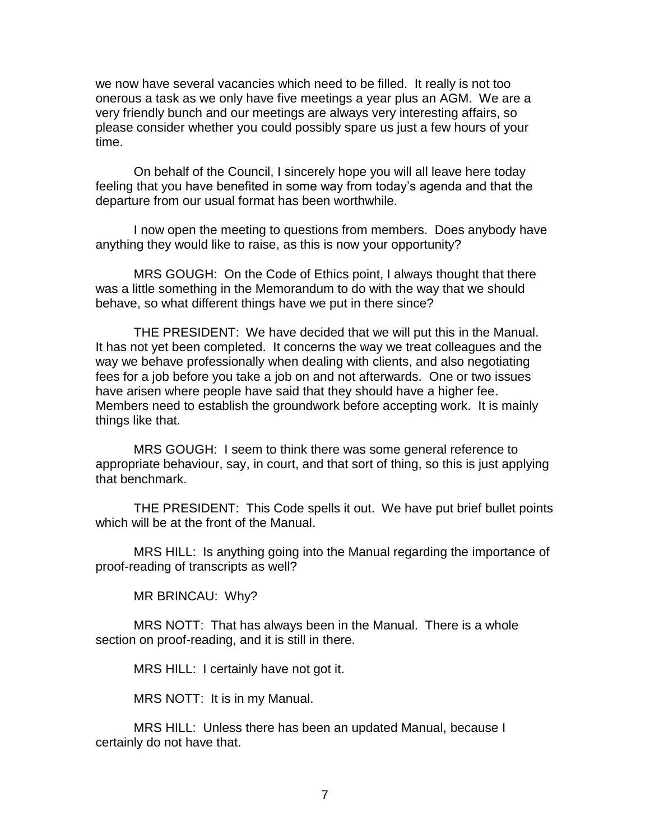we now have several vacancies which need to be filled. It really is not too onerous a task as we only have five meetings a year plus an AGM. We are a very friendly bunch and our meetings are always very interesting affairs, so please consider whether you could possibly spare us just a few hours of your time.

On behalf of the Council, I sincerely hope you will all leave here today feeling that you have benefited in some way from today's agenda and that the departure from our usual format has been worthwhile.

I now open the meeting to questions from members. Does anybody have anything they would like to raise, as this is now your opportunity?

MRS GOUGH: On the Code of Ethics point, I always thought that there was a little something in the Memorandum to do with the way that we should behave, so what different things have we put in there since?

THE PRESIDENT: We have decided that we will put this in the Manual. It has not yet been completed. It concerns the way we treat colleagues and the way we behave professionally when dealing with clients, and also negotiating fees for a job before you take a job on and not afterwards. One or two issues have arisen where people have said that they should have a higher fee. Members need to establish the groundwork before accepting work. It is mainly things like that.

MRS GOUGH: I seem to think there was some general reference to appropriate behaviour, say, in court, and that sort of thing, so this is just applying that benchmark.

THE PRESIDENT: This Code spells it out. We have put brief bullet points which will be at the front of the Manual.

MRS HILL: Is anything going into the Manual regarding the importance of proof-reading of transcripts as well?

MR BRINCAU: Why?

MRS NOTT: That has always been in the Manual. There is a whole section on proof-reading, and it is still in there.

MRS HILL: I certainly have not got it.

MRS NOTT: It is in my Manual.

MRS HILL: Unless there has been an updated Manual, because I certainly do not have that.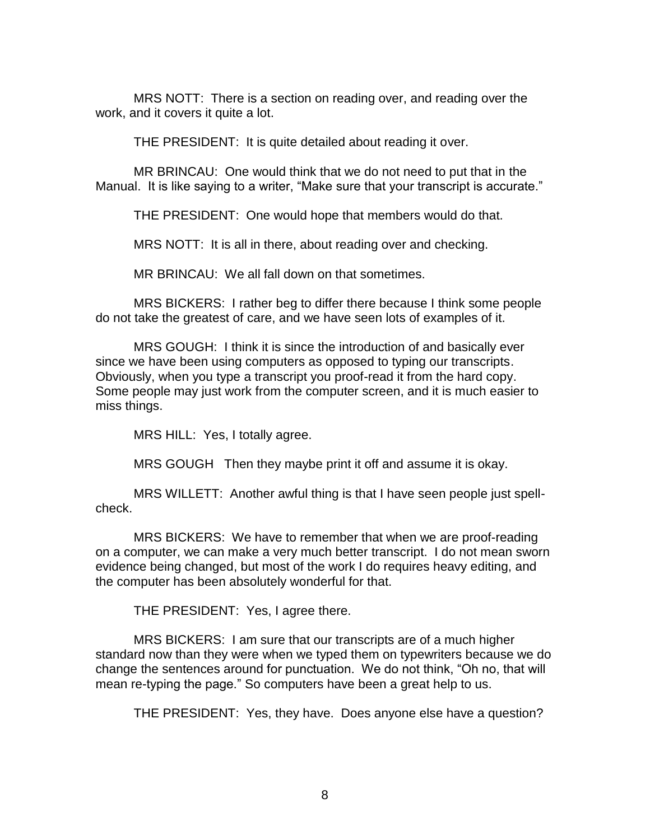MRS NOTT: There is a section on reading over, and reading over the work, and it covers it quite a lot.

THE PRESIDENT: It is quite detailed about reading it over.

MR BRINCAU: One would think that we do not need to put that in the Manual. It is like saying to a writer, "Make sure that your transcript is accurate."

THE PRESIDENT: One would hope that members would do that.

MRS NOTT: It is all in there, about reading over and checking.

MR BRINCAU: We all fall down on that sometimes.

MRS BICKERS: I rather beg to differ there because I think some people do not take the greatest of care, and we have seen lots of examples of it.

MRS GOUGH: I think it is since the introduction of and basically ever since we have been using computers as opposed to typing our transcripts. Obviously, when you type a transcript you proof-read it from the hard copy. Some people may just work from the computer screen, and it is much easier to miss things.

MRS HILL: Yes, I totally agree.

MRS GOUGH Then they maybe print it off and assume it is okay.

MRS WILLETT: Another awful thing is that I have seen people just spellcheck.

MRS BICKERS: We have to remember that when we are proof-reading on a computer, we can make a very much better transcript. I do not mean sworn evidence being changed, but most of the work I do requires heavy editing, and the computer has been absolutely wonderful for that.

THE PRESIDENT: Yes, I agree there.

MRS BICKERS: I am sure that our transcripts are of a much higher standard now than they were when we typed them on typewriters because we do change the sentences around for punctuation. We do not think, "Oh no, that will mean re-typing the page." So computers have been a great help to us.

THE PRESIDENT: Yes, they have. Does anyone else have a question?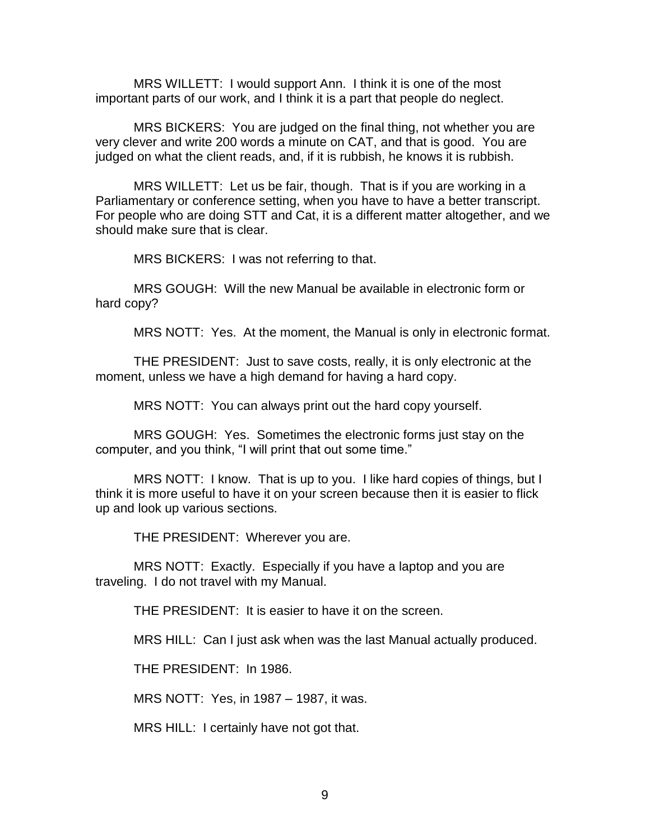MRS WILLETT: I would support Ann. I think it is one of the most important parts of our work, and I think it is a part that people do neglect.

MRS BICKERS: You are judged on the final thing, not whether you are very clever and write 200 words a minute on CAT, and that is good. You are judged on what the client reads, and, if it is rubbish, he knows it is rubbish.

MRS WILLETT: Let us be fair, though. That is if you are working in a Parliamentary or conference setting, when you have to have a better transcript. For people who are doing STT and Cat, it is a different matter altogether, and we should make sure that is clear.

MRS BICKERS: I was not referring to that.

MRS GOUGH: Will the new Manual be available in electronic form or hard copy?

MRS NOTT: Yes. At the moment, the Manual is only in electronic format.

THE PRESIDENT: Just to save costs, really, it is only electronic at the moment, unless we have a high demand for having a hard copy.

MRS NOTT: You can always print out the hard copy yourself.

MRS GOUGH: Yes. Sometimes the electronic forms just stay on the computer, and you think, "I will print that out some time."

MRS NOTT: I know. That is up to you. I like hard copies of things, but I think it is more useful to have it on your screen because then it is easier to flick up and look up various sections.

THE PRESIDENT: Wherever you are.

MRS NOTT: Exactly. Especially if you have a laptop and you are traveling. I do not travel with my Manual.

THE PRESIDENT: It is easier to have it on the screen.

MRS HILL: Can I just ask when was the last Manual actually produced.

THE PRESIDENT: In 1986.

MRS NOTT: Yes, in 1987 – 1987, it was.

MRS HILL: I certainly have not got that.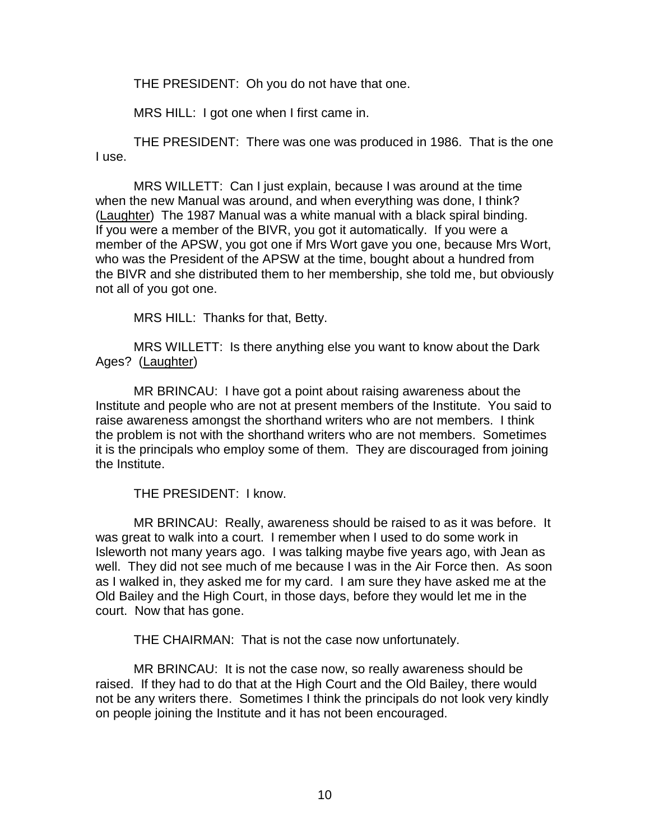THE PRESIDENT: Oh you do not have that one.

MRS HILL: I got one when I first came in.

THE PRESIDENT: There was one was produced in 1986. That is the one I use.

MRS WILLETT: Can I just explain, because I was around at the time when the new Manual was around, and when everything was done, I think? (Laughter) The 1987 Manual was a white manual with a black spiral binding. If you were a member of the BIVR, you got it automatically. If you were a member of the APSW, you got one if Mrs Wort gave you one, because Mrs Wort, who was the President of the APSW at the time, bought about a hundred from the BIVR and she distributed them to her membership, she told me, but obviously not all of you got one.

MRS HILL: Thanks for that, Betty.

MRS WILLETT: Is there anything else you want to know about the Dark Ages? (Laughter)

MR BRINCAU: I have got a point about raising awareness about the Institute and people who are not at present members of the Institute. You said to raise awareness amongst the shorthand writers who are not members. I think the problem is not with the shorthand writers who are not members. Sometimes it is the principals who employ some of them. They are discouraged from joining the Institute.

THE PRESIDENT: I know.

MR BRINCAU: Really, awareness should be raised to as it was before. It was great to walk into a court. I remember when I used to do some work in Isleworth not many years ago. I was talking maybe five years ago, with Jean as well. They did not see much of me because I was in the Air Force then. As soon as I walked in, they asked me for my card. I am sure they have asked me at the Old Bailey and the High Court, in those days, before they would let me in the court. Now that has gone.

THE CHAIRMAN: That is not the case now unfortunately.

MR BRINCAU: It is not the case now, so really awareness should be raised. If they had to do that at the High Court and the Old Bailey, there would not be any writers there. Sometimes I think the principals do not look very kindly on people joining the Institute and it has not been encouraged.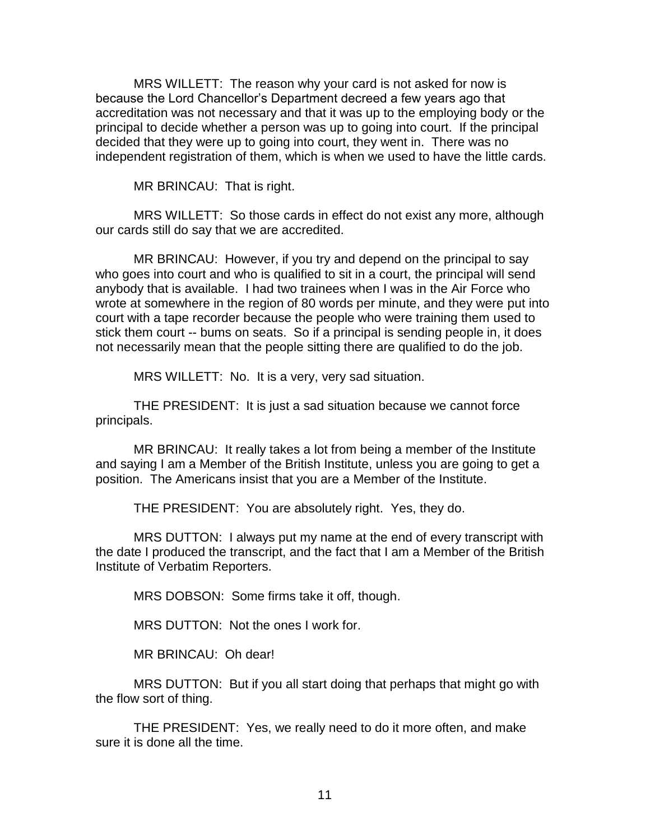MRS WILLETT: The reason why your card is not asked for now is because the Lord Chancellor's Department decreed a few years ago that accreditation was not necessary and that it was up to the employing body or the principal to decide whether a person was up to going into court. If the principal decided that they were up to going into court, they went in. There was no independent registration of them, which is when we used to have the little cards.

MR BRINCAU: That is right.

MRS WILLETT: So those cards in effect do not exist any more, although our cards still do say that we are accredited.

MR BRINCAU: However, if you try and depend on the principal to say who goes into court and who is qualified to sit in a court, the principal will send anybody that is available. I had two trainees when I was in the Air Force who wrote at somewhere in the region of 80 words per minute, and they were put into court with a tape recorder because the people who were training them used to stick them court -- bums on seats. So if a principal is sending people in, it does not necessarily mean that the people sitting there are qualified to do the job.

MRS WILLETT: No. It is a very, very sad situation.

THE PRESIDENT: It is just a sad situation because we cannot force principals.

MR BRINCAU: It really takes a lot from being a member of the Institute and saying I am a Member of the British Institute, unless you are going to get a position. The Americans insist that you are a Member of the Institute.

THE PRESIDENT: You are absolutely right. Yes, they do.

MRS DUTTON: I always put my name at the end of every transcript with the date I produced the transcript, and the fact that I am a Member of the British Institute of Verbatim Reporters.

MRS DOBSON: Some firms take it off, though.

MRS DUTTON: Not the ones I work for.

MR BRINCAU: Oh dear!

MRS DUTTON: But if you all start doing that perhaps that might go with the flow sort of thing.

THE PRESIDENT: Yes, we really need to do it more often, and make sure it is done all the time.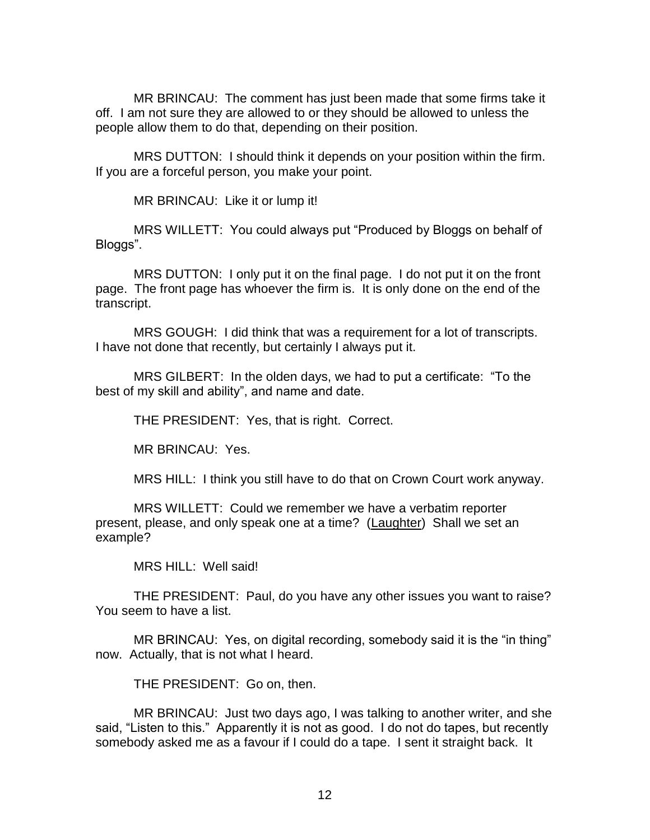MR BRINCAU: The comment has just been made that some firms take it off. I am not sure they are allowed to or they should be allowed to unless the people allow them to do that, depending on their position.

MRS DUTTON: I should think it depends on your position within the firm. If you are a forceful person, you make your point.

MR BRINCAU: Like it or lump it!

MRS WILLETT: You could always put "Produced by Bloggs on behalf of Bloggs".

MRS DUTTON: I only put it on the final page. I do not put it on the front page. The front page has whoever the firm is. It is only done on the end of the transcript.

MRS GOUGH: I did think that was a requirement for a lot of transcripts. I have not done that recently, but certainly I always put it.

MRS GILBERT: In the olden days, we had to put a certificate: "To the best of my skill and ability", and name and date.

THE PRESIDENT: Yes, that is right. Correct.

MR BRINCAU: Yes.

MRS HILL: I think you still have to do that on Crown Court work anyway.

MRS WILLETT: Could we remember we have a verbatim reporter present, please, and only speak one at a time? (Laughter) Shall we set an example?

MRS HILL: Well said!

THE PRESIDENT: Paul, do you have any other issues you want to raise? You seem to have a list.

MR BRINCAU: Yes, on digital recording, somebody said it is the "in thing" now. Actually, that is not what I heard.

THE PRESIDENT: Go on, then.

MR BRINCAU: Just two days ago, I was talking to another writer, and she said, "Listen to this." Apparently it is not as good. I do not do tapes, but recently somebody asked me as a favour if I could do a tape. I sent it straight back. It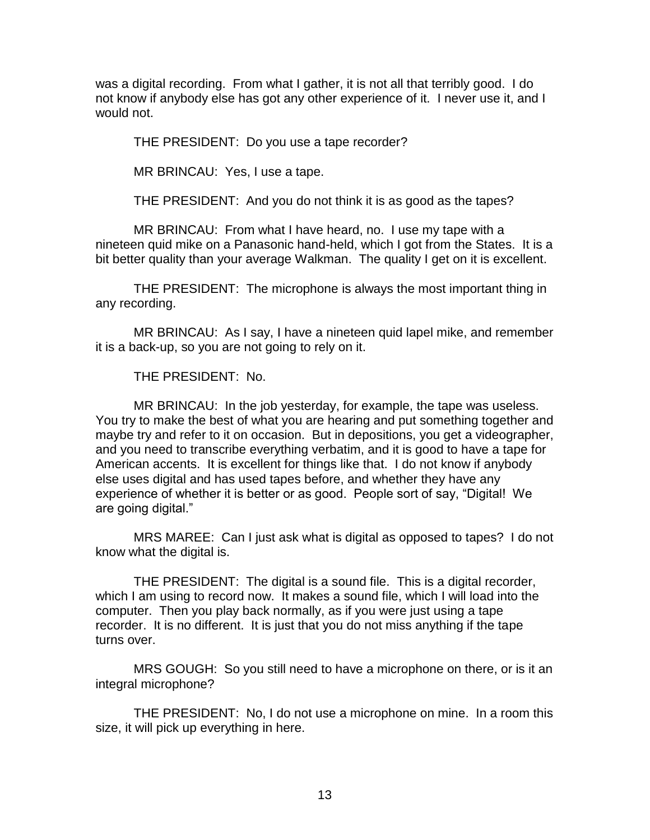was a digital recording. From what I gather, it is not all that terribly good. I do not know if anybody else has got any other experience of it. I never use it, and I would not.

THE PRESIDENT: Do you use a tape recorder?

MR BRINCAU: Yes, I use a tape.

THE PRESIDENT: And you do not think it is as good as the tapes?

MR BRINCAU: From what I have heard, no. I use my tape with a nineteen quid mike on a Panasonic hand-held, which I got from the States. It is a bit better quality than your average Walkman. The quality I get on it is excellent.

THE PRESIDENT: The microphone is always the most important thing in any recording.

MR BRINCAU: As I say, I have a nineteen quid lapel mike, and remember it is a back-up, so you are not going to rely on it.

THE PRESIDENT: No.

MR BRINCAU: In the job yesterday, for example, the tape was useless. You try to make the best of what you are hearing and put something together and maybe try and refer to it on occasion. But in depositions, you get a videographer, and you need to transcribe everything verbatim, and it is good to have a tape for American accents. It is excellent for things like that. I do not know if anybody else uses digital and has used tapes before, and whether they have any experience of whether it is better or as good. People sort of say, "Digital! We are going digital."

MRS MAREE: Can I just ask what is digital as opposed to tapes? I do not know what the digital is.

THE PRESIDENT: The digital is a sound file. This is a digital recorder, which I am using to record now. It makes a sound file, which I will load into the computer. Then you play back normally, as if you were just using a tape recorder. It is no different. It is just that you do not miss anything if the tape turns over.

MRS GOUGH: So you still need to have a microphone on there, or is it an integral microphone?

THE PRESIDENT: No, I do not use a microphone on mine. In a room this size, it will pick up everything in here.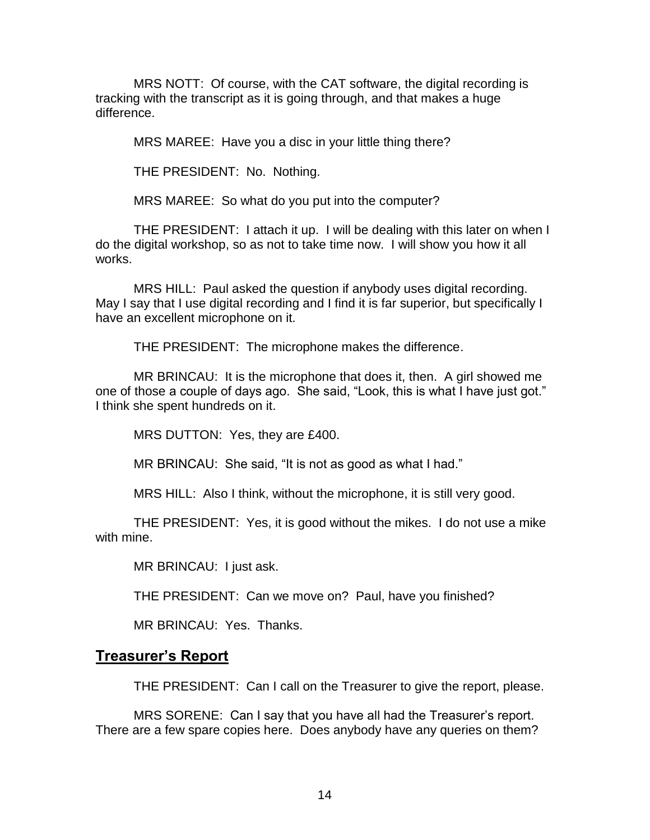MRS NOTT: Of course, with the CAT software, the digital recording is tracking with the transcript as it is going through, and that makes a huge difference.

MRS MAREE: Have you a disc in your little thing there?

THE PRESIDENT: No. Nothing.

MRS MAREE: So what do you put into the computer?

THE PRESIDENT: I attach it up. I will be dealing with this later on when I do the digital workshop, so as not to take time now. I will show you how it all works.

MRS HILL: Paul asked the question if anybody uses digital recording. May I say that I use digital recording and I find it is far superior, but specifically I have an excellent microphone on it.

THE PRESIDENT: The microphone makes the difference.

MR BRINCAU: It is the microphone that does it, then. A girl showed me one of those a couple of days ago. She said, "Look, this is what I have just got." I think she spent hundreds on it.

MRS DUTTON: Yes, they are £400.

MR BRINCAU: She said, "It is not as good as what I had."

MRS HILL: Also I think, without the microphone, it is still very good.

THE PRESIDENT: Yes, it is good without the mikes. I do not use a mike with mine.

MR BRINCAU: I just ask.

THE PRESIDENT: Can we move on? Paul, have you finished?

MR BRINCAU: Yes. Thanks.

#### **Treasurer's Report**

THE PRESIDENT: Can I call on the Treasurer to give the report, please.

MRS SORENE: Can I say that you have all had the Treasurer's report. There are a few spare copies here. Does anybody have any queries on them?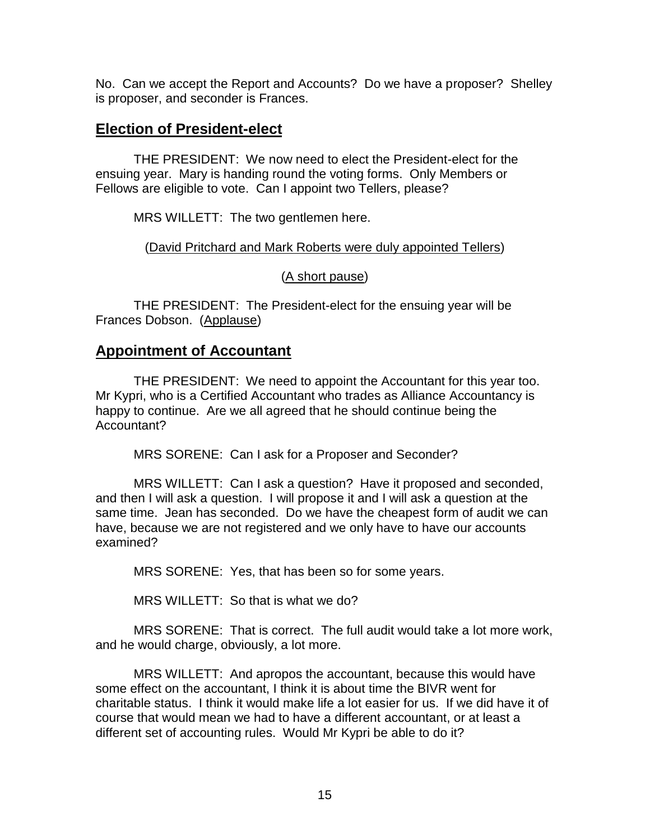No. Can we accept the Report and Accounts? Do we have a proposer? Shelley is proposer, and seconder is Frances.

# **Election of President-elect**

THE PRESIDENT: We now need to elect the President-elect for the ensuing year. Mary is handing round the voting forms. Only Members or Fellows are eligible to vote. Can I appoint two Tellers, please?

MRS WILLETT: The two gentlemen here.

(David Pritchard and Mark Roberts were duly appointed Tellers)

(A short pause)

THE PRESIDENT: The President-elect for the ensuing year will be Frances Dobson. (Applause)

# **Appointment of Accountant**

THE PRESIDENT: We need to appoint the Accountant for this year too. Mr Kypri, who is a Certified Accountant who trades as Alliance Accountancy is happy to continue. Are we all agreed that he should continue being the Accountant?

MRS SORENE: Can I ask for a Proposer and Seconder?

MRS WILLETT: Can I ask a question? Have it proposed and seconded, and then I will ask a question. I will propose it and I will ask a question at the same time. Jean has seconded. Do we have the cheapest form of audit we can have, because we are not registered and we only have to have our accounts examined?

MRS SORENE: Yes, that has been so for some years.

MRS WILLETT: So that is what we do?

MRS SORENE: That is correct. The full audit would take a lot more work, and he would charge, obviously, a lot more.

MRS WILLETT: And apropos the accountant, because this would have some effect on the accountant, I think it is about time the BIVR went for charitable status. I think it would make life a lot easier for us. If we did have it of course that would mean we had to have a different accountant, or at least a different set of accounting rules. Would Mr Kypri be able to do it?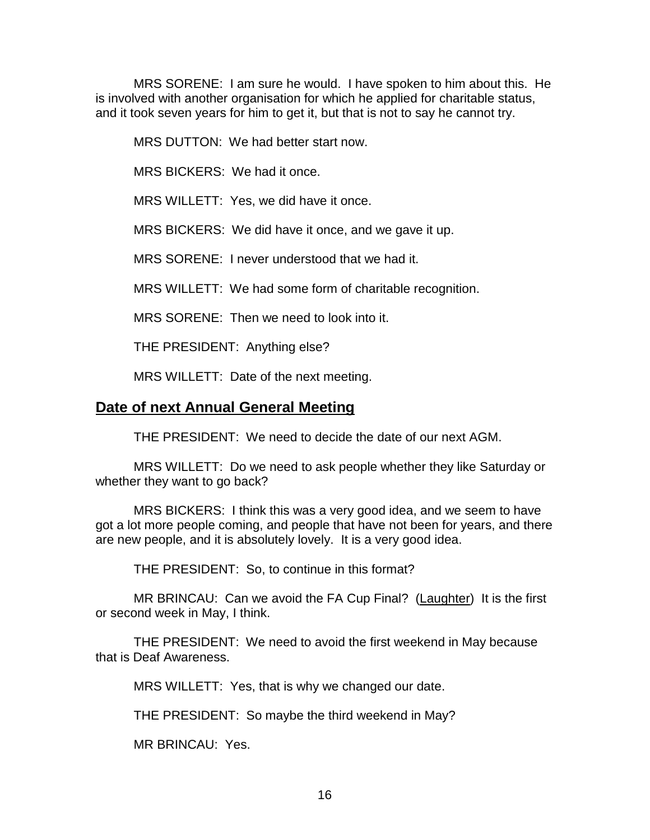MRS SORENE: I am sure he would. I have spoken to him about this. He is involved with another organisation for which he applied for charitable status, and it took seven years for him to get it, but that is not to say he cannot try.

MRS DUTTON: We had better start now.

MRS BICKERS: We had it once.

MRS WILLETT: Yes, we did have it once.

MRS BICKERS: We did have it once, and we gave it up.

MRS SORENE: I never understood that we had it.

MRS WILLETT: We had some form of charitable recognition.

MRS SORENE: Then we need to look into it.

THE PRESIDENT: Anything else?

MRS WILLETT: Date of the next meeting.

### **Date of next Annual General Meeting**

THE PRESIDENT: We need to decide the date of our next AGM.

MRS WILLETT: Do we need to ask people whether they like Saturday or whether they want to go back?

MRS BICKERS: I think this was a very good idea, and we seem to have got a lot more people coming, and people that have not been for years, and there are new people, and it is absolutely lovely. It is a very good idea.

THE PRESIDENT: So, to continue in this format?

MR BRINCAU: Can we avoid the FA Cup Final? (Laughter) It is the first or second week in May, I think.

THE PRESIDENT: We need to avoid the first weekend in May because that is Deaf Awareness.

MRS WILLETT: Yes, that is why we changed our date.

THE PRESIDENT: So maybe the third weekend in May?

MR BRINCAU: Yes.